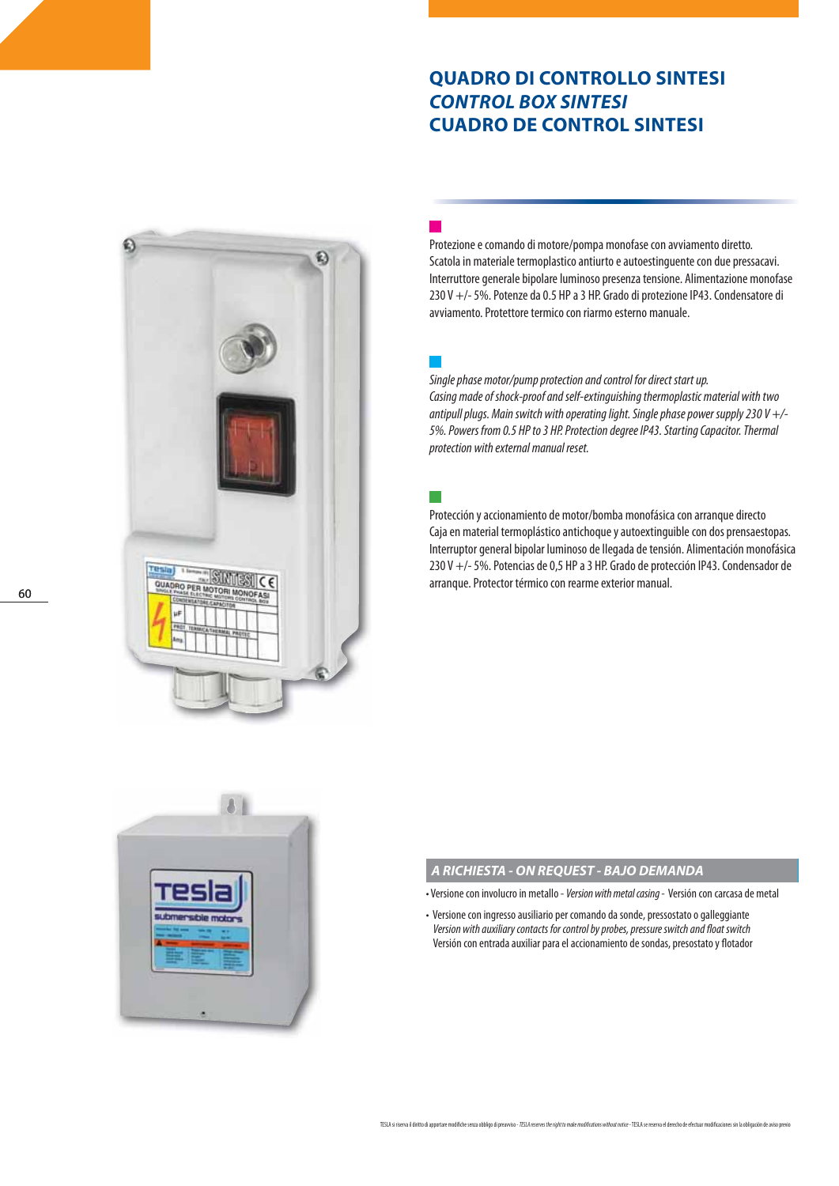# **QUADRO DI CONTROLLO SINTESI** *CONTROL BOX SINTESI* **CUADRO DE CONTROL SINTESI**



Protezione e comando di motore/pompa monofase con avviamento diretto. Scatola in materiale termoplastico antiurto e autoestinguente con due pressacavi. Interruttore generale bipolare luminoso presenza tensione. Alimentazione monofase 230 V +/- 5%. Potenze da 0.5 HP a 3 HP. Grado di protezione IP43. Condensatore di avviamento. Protettore termico con riarmo esterno manuale.

Single phase motor/pump protection and control for direct start up. Casing made of shock-proof and self-extinguishing thermoplastic material with two antipull plugs. Main switch with operating light. Single phase power supply 230 V  $+$ /-5%. Powers from 0.5 HP to 3 HP. Protection degree IP43. Starting Capacitor. Thermal protection with external manual reset.

Protección y accionamiento de motor/bomba monofásica con arranque directo Caja en material termoplástico antichoque y autoextinguible con dos prensaestopas. Interruptor general bipolar luminoso de llegada de tensión. Alimentación monofásica 230 V +/- 5%. Potencias de 0,5 HP a 3 HP. Grado de protección IP43. Condensador de arranque. Protector térmico con rearme exterior manual.



## *A RICHIESTA - ON REQUEST - BAJO DEMANDA*

- Versione con involucro in metallo Version with metal casing Versión con carcasa de metal
- Versione con ingresso ausiliario per comando da sonde, pressostato o galleggiante Version with auxiliary contacts for control by probes, pressure switch and float switch Versión con entrada auxiliar para el accionamiento de sondas, presostato y flotador